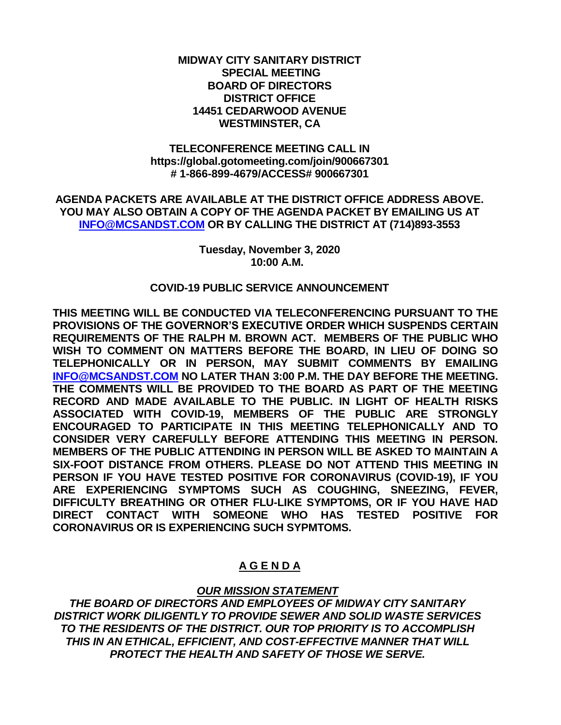#### **MIDWAY CITY SANITARY DISTRICT SPECIAL MEETING BOARD OF DIRECTORS DISTRICT OFFICE 14451 CEDARWOOD AVENUE WESTMINSTER, CA**

#### **TELECONFERENCE MEETING CALL IN https://global.gotomeeting.com/join/900667301 # 1-866-899-4679/ACCESS# 900667301**

**AGENDA PACKETS ARE AVAILABLE AT THE DISTRICT OFFICE ADDRESS ABOVE. YOU MAY ALSO OBTAIN A COPY OF THE AGENDA PACKET BY EMAILING US AT [INFO@MCSANDST.COM](mailto:INFO@MCSANDST.COM) OR BY CALLING THE DISTRICT AT (714)893-3553**

> **Tuesday, November 3, 2020 10:00 A.M.**

#### **COVID-19 PUBLIC SERVICE ANNOUNCEMENT**

**THIS MEETING WILL BE CONDUCTED VIA TELECONFERENCING PURSUANT TO THE PROVISIONS OF THE GOVERNOR'S EXECUTIVE ORDER WHICH SUSPENDS CERTAIN REQUIREMENTS OF THE RALPH M. BROWN ACT. MEMBERS OF THE PUBLIC WHO WISH TO COMMENT ON MATTERS BEFORE THE BOARD, IN LIEU OF DOING SO TELEPHONICALLY OR IN PERSON, MAY SUBMIT COMMENTS BY EMAILING [INFO@MCSANDST.COM](mailto:INFO@MCSANDST.COM) NO LATER THAN 3:00 P.M. THE DAY BEFORE THE MEETING. THE COMMENTS WILL BE PROVIDED TO THE BOARD AS PART OF THE MEETING RECORD AND MADE AVAILABLE TO THE PUBLIC. IN LIGHT OF HEALTH RISKS ASSOCIATED WITH COVID-19, MEMBERS OF THE PUBLIC ARE STRONGLY ENCOURAGED TO PARTICIPATE IN THIS MEETING TELEPHONICALLY AND TO CONSIDER VERY CAREFULLY BEFORE ATTENDING THIS MEETING IN PERSON. MEMBERS OF THE PUBLIC ATTENDING IN PERSON WILL BE ASKED TO MAINTAIN A SIX-FOOT DISTANCE FROM OTHERS. PLEASE DO NOT ATTEND THIS MEETING IN PERSON IF YOU HAVE TESTED POSITIVE FOR CORONAVIRUS (COVID-19), IF YOU ARE EXPERIENCING SYMPTOMS SUCH AS COUGHING, SNEEZING, FEVER, DIFFICULTY BREATHING OR OTHER FLU-LIKE SYMPTOMS, OR IF YOU HAVE HAD DIRECT CONTACT WITH SOMEONE WHO HAS TESTED POSITIVE FOR CORONAVIRUS OR IS EXPERIENCING SUCH SYPMTOMS.** 

## **A G E N D A**

## *OUR MISSION STATEMENT*

*THE BOARD OF DIRECTORS AND EMPLOYEES OF MIDWAY CITY SANITARY DISTRICT WORK DILIGENTLY TO PROVIDE SEWER AND SOLID WASTE SERVICES TO THE RESIDENTS OF THE DISTRICT. OUR TOP PRIORITY IS TO ACCOMPLISH THIS IN AN ETHICAL, EFFICIENT, AND COST-EFFECTIVE MANNER THAT WILL PROTECT THE HEALTH AND SAFETY OF THOSE WE SERVE.*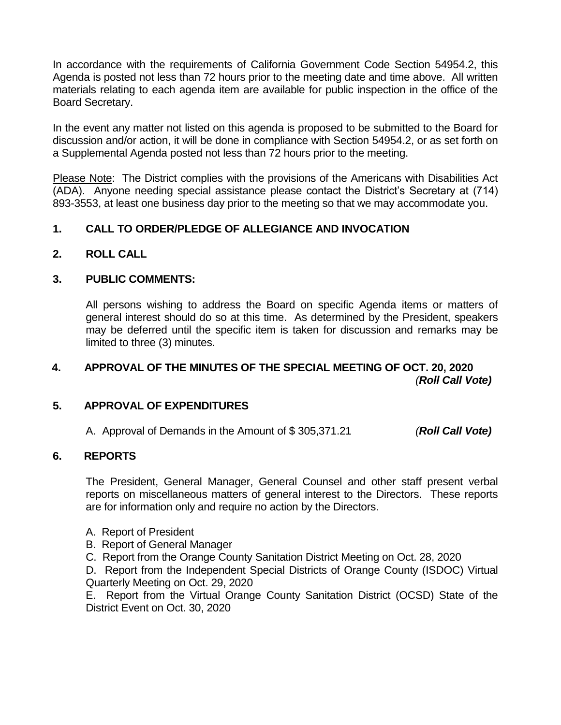In accordance with the requirements of California Government Code Section 54954.2, this Agenda is posted not less than 72 hours prior to the meeting date and time above. All written materials relating to each agenda item are available for public inspection in the office of the Board Secretary.

In the event any matter not listed on this agenda is proposed to be submitted to the Board for discussion and/or action, it will be done in compliance with Section 54954.2, or as set forth on a Supplemental Agenda posted not less than 72 hours prior to the meeting.

Please Note: The District complies with the provisions of the Americans with Disabilities Act (ADA). Anyone needing special assistance please contact the District's Secretary at (714) 893-3553, at least one business day prior to the meeting so that we may accommodate you.

# **1. CALL TO ORDER/PLEDGE OF ALLEGIANCE AND INVOCATION**

**2. ROLL CALL**

## **3. PUBLIC COMMENTS:**

All persons wishing to address the Board on specific Agenda items or matters of general interest should do so at this time. As determined by the President, speakers may be deferred until the specific item is taken for discussion and remarks may be limited to three (3) minutes.

# **4. APPROVAL OF THE MINUTES OF THE SPECIAL MEETING OF OCT. 20, 2020** *(Roll Call Vote)*

## **5. APPROVAL OF EXPENDITURES**

A. Approval of Demands in the Amount of \$ 305,371.21 *(Roll Call Vote)*

## **6. REPORTS**

The President, General Manager, General Counsel and other staff present verbal reports on miscellaneous matters of general interest to the Directors. These reports are for information only and require no action by the Directors.

- A. Report of President
- B. Report of General Manager
- C. Report from the Orange County Sanitation District Meeting on Oct. 28, 2020

D. Report from the Independent Special Districts of Orange County (ISDOC) Virtual Quarterly Meeting on Oct. 29, 2020

E. Report from the Virtual Orange County Sanitation District (OCSD) State of the District Event on Oct. 30, 2020